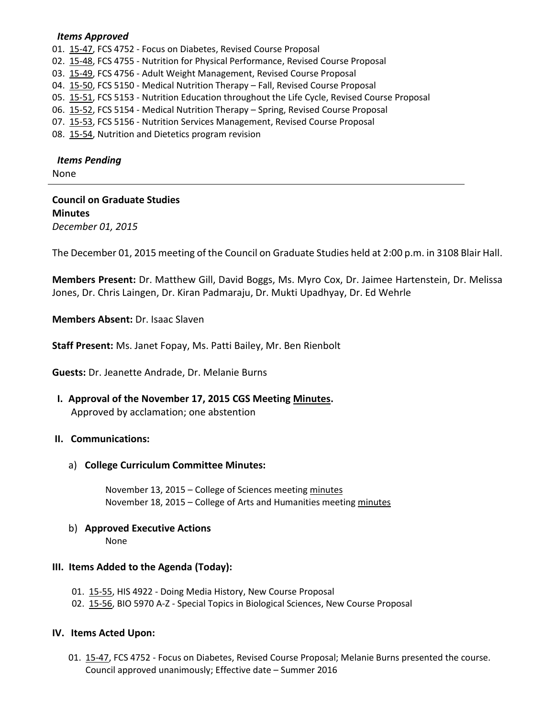### *Items Approved*

01. [15-47,](http://castle.eiu.edu/~eiucgs/currentagendaitems/agenda15-47.pdf) FCS 4752 - Focus on Diabetes, Revised Course Proposal

02. [15-48,](http://castle.eiu.edu/~eiucgs/currentagendaitems/agenda15-48.pdf) FCS 4755 - Nutrition for Physical Performance, Revised Course Proposal

03. [15-49,](http://castle.eiu.edu/~eiucgs/currentagendaitems/agenda15-49.pdf) FCS 4756 - Adult Weight Management, Revised Course Proposal

- 04. [15-50,](http://castle.eiu.edu/~eiucgs/currentagendaitems/agenda15-50.pdf) FCS 5150 Medical Nutrition Therapy Fall, Revised Course Proposal
- 05. [15-51,](http://castle.eiu.edu/~eiucgs/currentagendaitems/agenda15-51.pdf) FCS 5153 Nutrition Education throughout the Life Cycle, Revised Course Proposal
- 06. [15-52,](http://castle.eiu.edu/~eiucgs/currentagendaitems/agenda15-52.pdf) FCS 5154 Medical Nutrition Therapy Spring, Revised Course Proposal
- 07. [15-53,](http://castle.eiu.edu/~eiucgs/currentagendaitems/agenda15-53.pdf) FCS 5156 Nutrition Services Management, Revised Course Proposal

08. [15-54,](http://castle.eiu.edu/~eiucgs/currentagendaitems/agenda15-54.pdf) Nutrition and Dietetics program revision

### *Items Pending*

None

### **Council on Graduate Studies Minutes**

*December 01, 2015*

The December 01, 2015 meeting of the Council on Graduate Studies held at 2:00 p.m. in 3108 Blair Hall.

**Members Present:** Dr. Matthew Gill, David Boggs, Ms. Myro Cox, Dr. Jaimee Hartenstein, Dr. Melissa Jones, Dr. Chris Laingen, Dr. Kiran Padmaraju, Dr. Mukti Upadhyay, Dr. Ed Wehrle

**Members Absent:** Dr. Isaac Slaven

**Staff Present:** Ms. Janet Fopay, Ms. Patti Bailey, Mr. Ben Rienbolt

**Guests:** Dr. Jeanette Andrade, Dr. Melanie Burns

 **I. Approval of the November 17, 2015 CGS Meeting [Minutes.](http://castle.eiu.edu/eiucgs/currentminutes/Minutes11-17-15.pdf)** Approved by acclamation; one abstention

### **II. Communications:**

a) **College Curriculum Committee Minutes:**

November 13, 2015 – College of Sciences meetin[g minutes](http://castle.eiu.edu/~eiucgs/currentagendaitems/COSMin11-13-15.pdf) November 18, 2015 – College of Arts and Humanities meetin[g minutes](http://castle.eiu.edu/~eiucgs/currentagendaitems/CAHMin11-18-15.pdf)

# b) **Approved Executive Actions**

None

## **III. Items Added to the Agenda (Today):**

- 01. [15-55,](http://castle.eiu.edu/~eiucgs/currentagendaitems/agenda15-55.pdf) HIS 4922 Doing Media History, New Course Proposal
- 02. [15-56,](http://castle.eiu.edu/~eiucgs/currentagendaitems/agenda15-56.pdf) BIO 5970 A-Z Special Topics in Biological Sciences, New Course Proposal

### **IV. Items Acted Upon:**

01. [15-47,](http://castle.eiu.edu/~eiucgs/currentagendaitems/agenda15-47.pdf) FCS 4752 - Focus on Diabetes, Revised Course Proposal; Melanie Burns presented the course. Council approved unanimously; Effective date – Summer 2016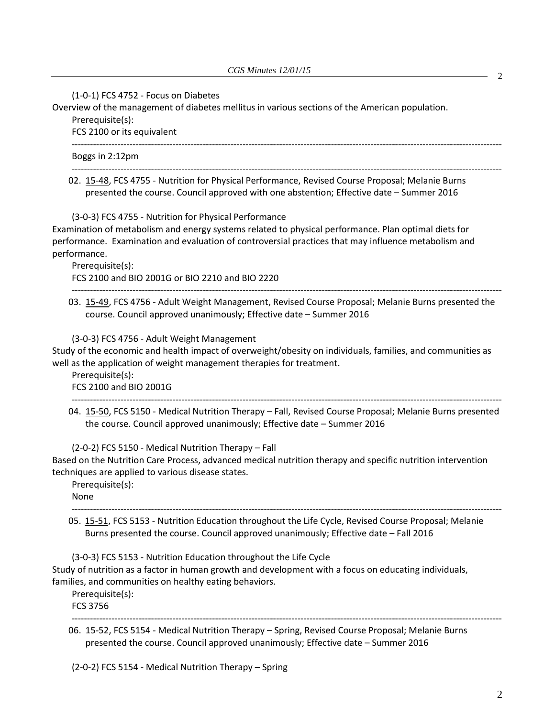(1-0-1) FCS 4752 - Focus on Diabetes

Overview of the management of diabetes mellitus in various sections of the American population.

Prerequisite(s):

FCS 2100 or its equivalent

Boggs in 2:12pm

02. [15-48,](http://castle.eiu.edu/~eiucgs/currentagendaitems/agenda15-48.pdf) FCS 4755 - Nutrition for Physical Performance, Revised Course Proposal; Melanie Burns presented the course. Council approved with one abstention; Effective date – Summer 2016

---------------------------------------------------------------------------------------------------------------------------------------------

---------------------------------------------------------------------------------------------------------------------------------------------

(3-0-3) FCS 4755 - Nutrition for Physical Performance

Examination of metabolism and energy systems related to physical performance. Plan optimal diets for performance. Examination and evaluation of controversial practices that may influence metabolism and performance.

Prerequisite(s):

FCS 2100 and BIO 2001G or BIO 2210 and BIO 2220

03. [15-49,](http://castle.eiu.edu/~eiucgs/currentagendaitems/agenda15-49.pdf) FCS 4756 - Adult Weight Management, Revised Course Proposal; Melanie Burns presented the course. Council approved unanimously; Effective date – Summer 2016

---------------------------------------------------------------------------------------------------------------------------------------------

(3-0-3) FCS 4756 - Adult Weight Management

Study of the economic and health impact of overweight/obesity on individuals, families, and communities as well as the application of weight management therapies for treatment.

Prerequisite(s): FCS 2100 and BIO 2001G

04. [15-50,](http://castle.eiu.edu/~eiucgs/currentagendaitems/agenda15-50.pdf) FCS 5150 - Medical Nutrition Therapy – Fall, Revised Course Proposal; Melanie Burns presented the course. Council approved unanimously; Effective date – Summer 2016

---------------------------------------------------------------------------------------------------------------------------------------------

(2-0-2) FCS 5150 - Medical Nutrition Therapy – Fall Based on the Nutrition Care Process, advanced medical nutrition therapy and specific nutrition intervention techniques are applied to various disease states.

Prerequisite(s):

None

--------------------------------------------------------------------------------------------------------------------------------------------- 05. [15-51,](http://castle.eiu.edu/~eiucgs/currentagendaitems/agenda15-51.pdf) FCS 5153 - Nutrition Education throughout the Life Cycle, Revised Course Proposal; Melanie Burns presented the course. Council approved unanimously; Effective date – Fall 2016

(3-0-3) FCS 5153 - Nutrition Education throughout the Life Cycle

Study of nutrition as a factor in human growth and development with a focus on educating individuals, families, and communities on healthy eating behaviors.

Prerequisite(s):

FCS 3756

---------------------------------------------------------------------------------------------------------------------------------------------

06. [15-52,](http://castle.eiu.edu/~eiucgs/currentagendaitems/agenda15-52.pdf) FCS 5154 - Medical Nutrition Therapy – Spring, Revised Course Proposal; Melanie Burns presented the course. Council approved unanimously; Effective date – Summer 2016

(2-0-2) FCS 5154 - Medical Nutrition Therapy – Spring

2

2